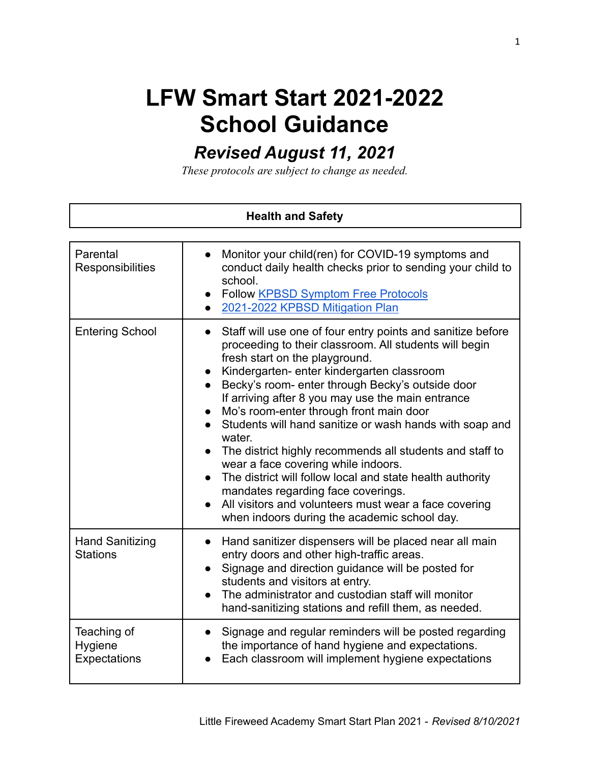## **LFW Smart Start 2021-2022 School Guidance**

## *Revised August 11, 2021*

*These protocols are subject to change as needed.*

| <b>Health and Safety</b>                  |                                                                                                                                                                                                                                                                                                                                                                                                                                                                                                                                                                                                                                                                                                                                                                         |
|-------------------------------------------|-------------------------------------------------------------------------------------------------------------------------------------------------------------------------------------------------------------------------------------------------------------------------------------------------------------------------------------------------------------------------------------------------------------------------------------------------------------------------------------------------------------------------------------------------------------------------------------------------------------------------------------------------------------------------------------------------------------------------------------------------------------------------|
| Parental<br>Responsibilities              | Monitor your child(ren) for COVID-19 symptoms and<br>conduct daily health checks prior to sending your child to<br>school.<br><b>Follow KPBSD Symptom Free Protocols</b><br>2021-2022 KPBSD Mitigation Plan                                                                                                                                                                                                                                                                                                                                                                                                                                                                                                                                                             |
| <b>Entering School</b>                    | Staff will use one of four entry points and sanitize before<br>proceeding to their classroom. All students will begin<br>fresh start on the playground.<br>Kindergarten- enter kindergarten classroom<br>Becky's room- enter through Becky's outside door<br>$\bullet$<br>If arriving after 8 you may use the main entrance<br>Mo's room-enter through front main door<br>$\bullet$<br>Students will hand sanitize or wash hands with soap and<br>water.<br>The district highly recommends all students and staff to<br>wear a face covering while indoors.<br>The district will follow local and state health authority<br>mandates regarding face coverings.<br>All visitors and volunteers must wear a face covering<br>when indoors during the academic school day. |
| <b>Hand Sanitizing</b><br><b>Stations</b> | Hand sanitizer dispensers will be placed near all main<br>$\bullet$<br>entry doors and other high-traffic areas.<br>Signage and direction guidance will be posted for<br>$\bullet$<br>students and visitors at entry.<br>The administrator and custodian staff will monitor<br>hand-sanitizing stations and refill them, as needed.                                                                                                                                                                                                                                                                                                                                                                                                                                     |
| Teaching of<br>Hygiene<br>Expectations    | Signage and regular reminders will be posted regarding<br>the importance of hand hygiene and expectations.<br>Each classroom will implement hygiene expectations                                                                                                                                                                                                                                                                                                                                                                                                                                                                                                                                                                                                        |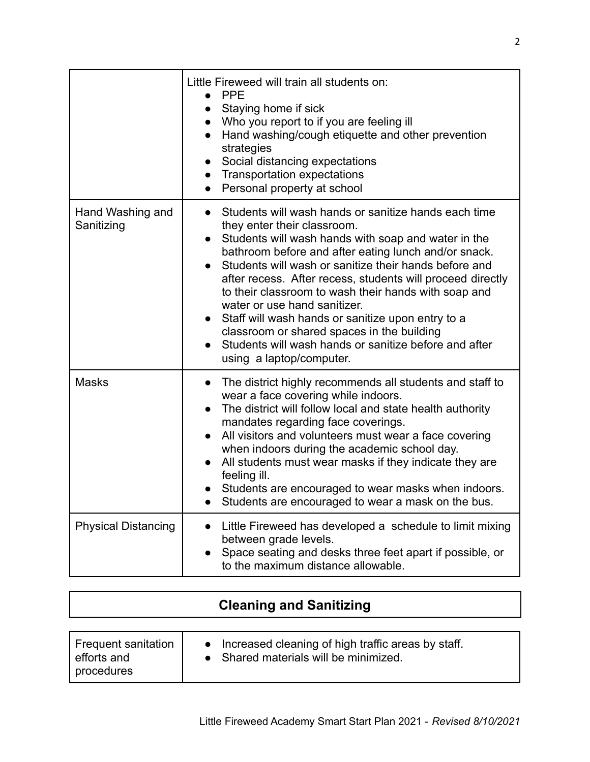|                                | Little Fireweed will train all students on:<br><b>PPE</b><br>Staying home if sick<br>$\bullet$<br>• Who you report to if you are feeling ill<br>Hand washing/cough etiquette and other prevention<br>strategies<br>Social distancing expectations<br>$\bullet$<br>• Transportation expectations<br>Personal property at school                                                                                                                                                                                                                                                                                                                                             |
|--------------------------------|----------------------------------------------------------------------------------------------------------------------------------------------------------------------------------------------------------------------------------------------------------------------------------------------------------------------------------------------------------------------------------------------------------------------------------------------------------------------------------------------------------------------------------------------------------------------------------------------------------------------------------------------------------------------------|
| Hand Washing and<br>Sanitizing | Students will wash hands or sanitize hands each time<br>$\bullet$<br>they enter their classroom.<br>Students will wash hands with soap and water in the<br>$\bullet$<br>bathroom before and after eating lunch and/or snack.<br>Students will wash or sanitize their hands before and<br>$\bullet$<br>after recess. After recess, students will proceed directly<br>to their classroom to wash their hands with soap and<br>water or use hand sanitizer.<br>Staff will wash hands or sanitize upon entry to a<br>$\bullet$<br>classroom or shared spaces in the building<br>Students will wash hands or sanitize before and after<br>$\bullet$<br>using a laptop/computer. |
| <b>Masks</b>                   | The district highly recommends all students and staff to<br>$\bullet$<br>wear a face covering while indoors.<br>The district will follow local and state health authority<br>$\bullet$<br>mandates regarding face coverings.<br>All visitors and volunteers must wear a face covering<br>when indoors during the academic school day.<br>All students must wear masks if they indicate they are<br>feeling ill.<br>Students are encouraged to wear masks when indoors.<br>Students are encouraged to wear a mask on the bus.                                                                                                                                               |
| <b>Physical Distancing</b>     | Little Fireweed has developed a schedule to limit mixing<br>between grade levels.<br>Space seating and desks three feet apart if possible, or<br>to the maximum distance allowable.                                                                                                                                                                                                                                                                                                                                                                                                                                                                                        |

| <b>Cleaning and Sanitizing</b>                   |                                                                                               |  |
|--------------------------------------------------|-----------------------------------------------------------------------------------------------|--|
| Frequent sanitation<br>efforts and<br>procedures | • Increased cleaning of high traffic areas by staff.<br>• Shared materials will be minimized. |  |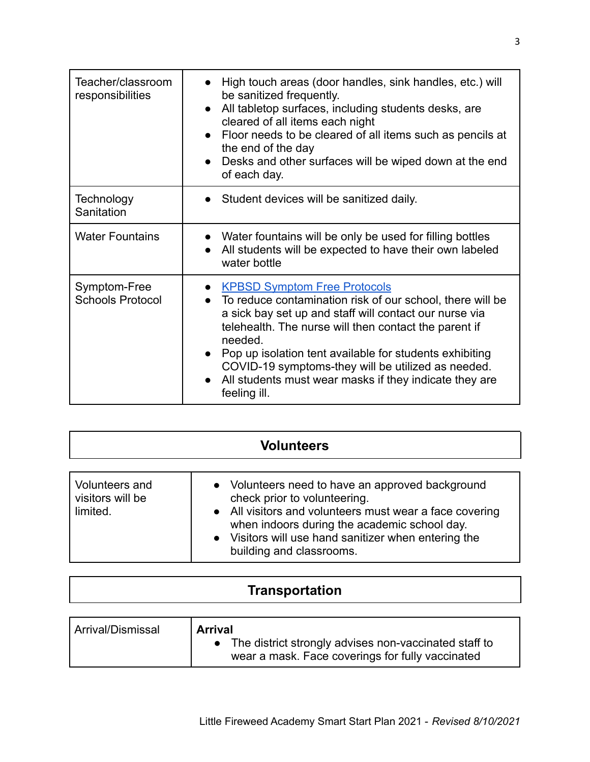| Teacher/classroom<br>responsibilities   | High touch areas (door handles, sink handles, etc.) will<br>be sanitized frequently.<br>• All tabletop surfaces, including students desks, are<br>cleared of all items each night<br>• Floor needs to be cleared of all items such as pencils at<br>the end of the day<br>• Desks and other surfaces will be wiped down at the end<br>of each day.                                                                     |
|-----------------------------------------|------------------------------------------------------------------------------------------------------------------------------------------------------------------------------------------------------------------------------------------------------------------------------------------------------------------------------------------------------------------------------------------------------------------------|
| Technology<br>Sanitation                | • Student devices will be sanitized daily.                                                                                                                                                                                                                                                                                                                                                                             |
| <b>Water Fountains</b>                  | • Water fountains will be only be used for filling bottles<br>All students will be expected to have their own labeled<br>water bottle                                                                                                                                                                                                                                                                                  |
| Symptom-Free<br><b>Schools Protocol</b> | • KPBSD Symptom Free Protocols<br>• To reduce contamination risk of our school, there will be<br>a sick bay set up and staff will contact our nurse via<br>telehealth. The nurse will then contact the parent if<br>needed.<br>Pop up isolation tent available for students exhibiting<br>COVID-19 symptoms-they will be utilized as needed.<br>All students must wear masks if they indicate they are<br>feeling ill. |

| <b>Volunteers</b>                              |                                                                                                                                                                                                                                                                                 |
|------------------------------------------------|---------------------------------------------------------------------------------------------------------------------------------------------------------------------------------------------------------------------------------------------------------------------------------|
| Volunteers and<br>visitors will be<br>limited. | • Volunteers need to have an approved background<br>check prior to volunteering.<br>• All visitors and volunteers must wear a face covering<br>when indoors during the academic school day.<br>• Visitors will use hand sanitizer when entering the<br>building and classrooms. |

| <b>Transportation</b> |
|-----------------------|
|                       |

| Arrival/Dismissal | <b>Arrival</b>                                                                                            |
|-------------------|-----------------------------------------------------------------------------------------------------------|
|                   | The district strongly advises non-vaccinated staff to<br>wear a mask. Face coverings for fully vaccinated |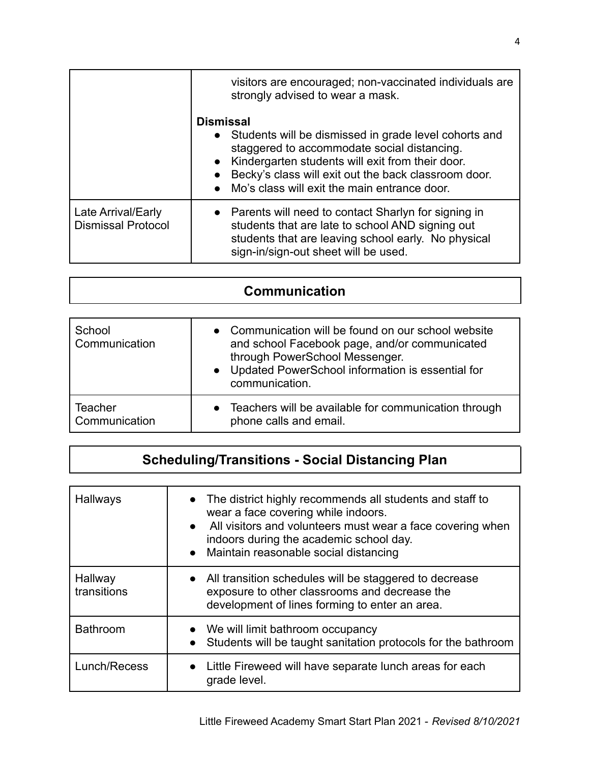|                                                 | visitors are encouraged; non-vaccinated individuals are<br>strongly advised to wear a mask.                                                                                                                                                                                                                                              |
|-------------------------------------------------|------------------------------------------------------------------------------------------------------------------------------------------------------------------------------------------------------------------------------------------------------------------------------------------------------------------------------------------|
|                                                 | <b>Dismissal</b><br>Students will be dismissed in grade level cohorts and<br>$\bullet$<br>staggered to accommodate social distancing.<br>Kindergarten students will exit from their door.<br>$\bullet$<br>Becky's class will exit out the back classroom door.<br>$\bullet$<br>Mo's class will exit the main entrance door.<br>$\bullet$ |
| Late Arrival/Early<br><b>Dismissal Protocol</b> | • Parents will need to contact Sharlyn for signing in<br>students that are late to school AND signing out<br>students that are leaving school early. No physical<br>sign-in/sign-out sheet will be used.                                                                                                                                 |

| <b>Communication</b> |
|----------------------|
|                      |

| School<br>Communication | • Communication will be found on our school website<br>and school Facebook page, and/or communicated<br>through PowerSchool Messenger.<br>Updated PowerSchool information is essential for<br>communication. |
|-------------------------|--------------------------------------------------------------------------------------------------------------------------------------------------------------------------------------------------------------|
| Teacher                 | Teachers will be available for communication through                                                                                                                                                         |
| Communication           | phone calls and email.                                                                                                                                                                                       |

## **Scheduling/Transitions - Social Distancing Plan**

| Hallways               | • The district highly recommends all students and staff to<br>wear a face covering while indoors.<br>All visitors and volunteers must wear a face covering when<br>$\bullet$<br>indoors during the academic school day.<br>• Maintain reasonable social distancing |
|------------------------|--------------------------------------------------------------------------------------------------------------------------------------------------------------------------------------------------------------------------------------------------------------------|
| Hallway<br>transitions | • All transition schedules will be staggered to decrease<br>exposure to other classrooms and decrease the<br>development of lines forming to enter an area.                                                                                                        |
| <b>Bathroom</b>        | • We will limit bathroom occupancy<br>Students will be taught sanitation protocols for the bathroom                                                                                                                                                                |
| Lunch/Recess           | • Little Fireweed will have separate lunch areas for each<br>grade level.                                                                                                                                                                                          |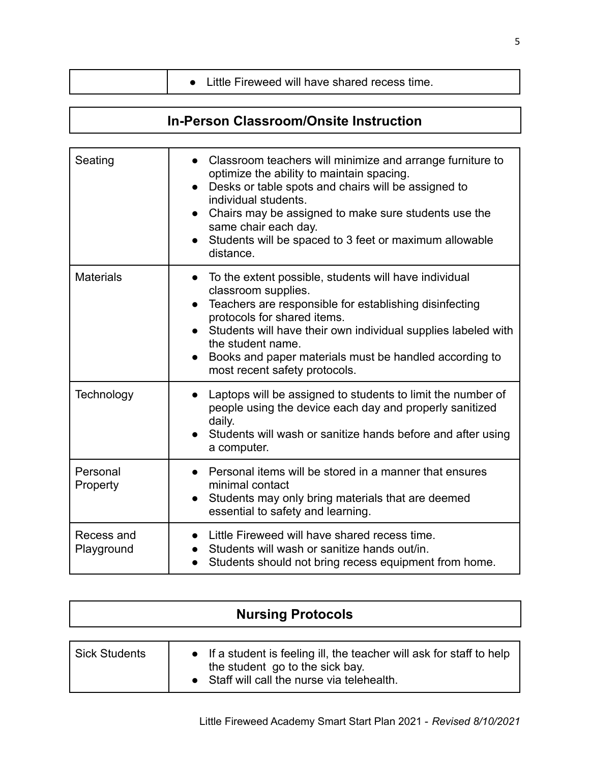|  | • Little Fireweed will have shared recess time. |
|--|-------------------------------------------------|
|--|-------------------------------------------------|

## **In-Person Classroom/Onsite Instruction**

| Seating                  | • Classroom teachers will minimize and arrange furniture to<br>optimize the ability to maintain spacing.<br>Desks or table spots and chairs will be assigned to<br>$\bullet$<br>individual students.<br>Chairs may be assigned to make sure students use the<br>same chair each day.<br>Students will be spaced to 3 feet or maximum allowable<br>distance.           |
|--------------------------|-----------------------------------------------------------------------------------------------------------------------------------------------------------------------------------------------------------------------------------------------------------------------------------------------------------------------------------------------------------------------|
| <b>Materials</b>         | To the extent possible, students will have individual<br>$\bullet$<br>classroom supplies.<br>Teachers are responsible for establishing disinfecting<br>protocols for shared items.<br>• Students will have their own individual supplies labeled with<br>the student name.<br>Books and paper materials must be handled according to<br>most recent safety protocols. |
| Technology               | Laptops will be assigned to students to limit the number of<br>people using the device each day and properly sanitized<br>daily.<br>Students will wash or sanitize hands before and after using<br>a computer.                                                                                                                                                        |
| Personal<br>Property     | Personal items will be stored in a manner that ensures<br>minimal contact<br>Students may only bring materials that are deemed<br>$\bullet$<br>essential to safety and learning.                                                                                                                                                                                      |
| Recess and<br>Playground | Little Fireweed will have shared recess time.<br>$\bullet$<br>Students will wash or sanitize hands out/in.<br>Students should not bring recess equipment from home.<br>$\bullet$                                                                                                                                                                                      |

| <b>Nursing Protocols</b> |                                                                                                                                                         |  |
|--------------------------|---------------------------------------------------------------------------------------------------------------------------------------------------------|--|
| <b>Sick Students</b>     | • If a student is feeling ill, the teacher will ask for staff to help<br>the student go to the sick bay.<br>• Staff will call the nurse via telehealth. |  |